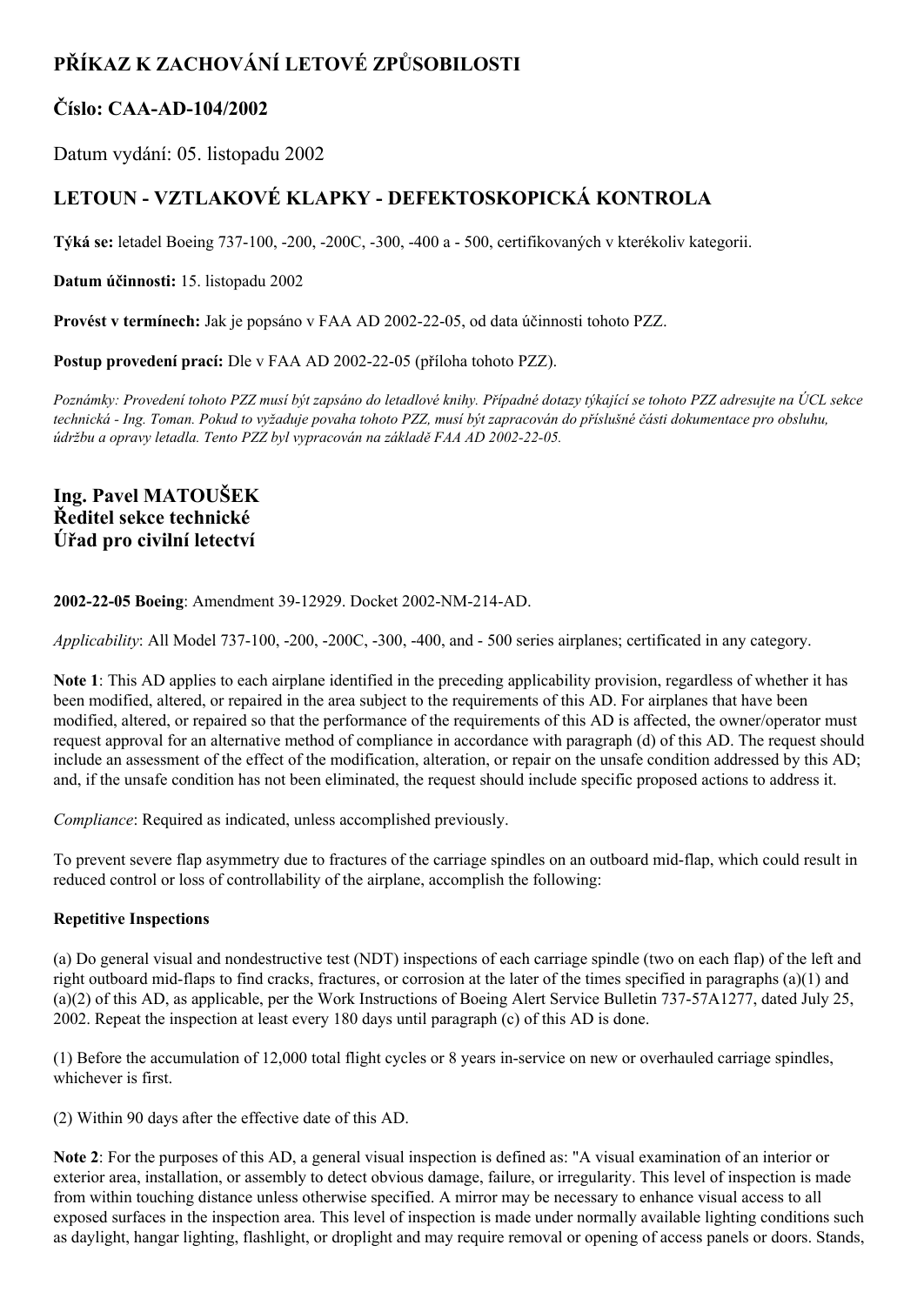# **PŘÍKAZ K ZACHOVÁNÍ LETOVÉ ZPŮSOBILOSTI**

### **Číslo: CAAAD104/2002**

Datum vydání: 05. listopadu 2002

## **LETOUN VZTLAKOVÉ KLAPKY DEFEKTOSKOPICKÁ KONTROLA**

**Týká se:** letadel Boeing 737100, 200, 200C, 300, 400 a 500, certifikovaných v kterékoliv kategorii.

**Datum účinnosti:** 15. listopadu 2002

**Provést v termínech:** Jak je popsáno v FAA AD 20022205, od data účinnosti tohoto PZZ.

**Postup provedení prací:** Dle v FAA AD 2002-22-05 (příloha tohoto PZZ).

Poznámky: Provedení tohoto PZZ musí být zapsáno do letadlové knihy. Případné dotazy týkající se tohoto PZZ adresujte na ÚCL sekce technická - Ing. Toman. Pokud to vyžaduje povaha tohoto PZZ, musí být zapracován do příslušné části dokumentace pro obsluhu, *údržbu a opravy letadla. Tento PZZ byl vypracován na základě FAA AD 20022205.*

### **Ing. Pavel MATOUŠEK Ředitel sekce technické Úřad pro civilní letectví**

#### **2002-22-05 Boeing: Amendment 39-12929. Docket 2002-NM-214-AD.**

*Applicability*: All Model 737-100, -200, -200C, -300, -400, and - 500 series airplanes; certificated in any category.

**Note 1**: This AD applies to each airplane identified in the preceding applicability provision, regardless of whether it has been modified, altered, or repaired in the area subject to the requirements of this AD. For airplanes that have been modified, altered, or repaired so that the performance of the requirements of this AD is affected, the owner/operator must request approval for an alternative method of compliance in accordance with paragraph (d) of this AD. The request should include an assessment of the effect of the modification, alteration, or repair on the unsafe condition addressed by this AD; and, if the unsafe condition has not been eliminated, the request should include specific proposed actions to address it.

*Compliance*: Required as indicated, unless accomplished previously.

To prevent severe flap asymmetry due to fractures of the carriage spindles on an outboard mid-flap, which could result in reduced control or loss of controllability of the airplane, accomplish the following:

#### **Repetitive Inspections**

(a) Do general visual and nondestructive test (NDT) inspections of each carriage spindle (two on each flap) of the left and right outboard mid-flaps to find cracks, fractures, or corrosion at the later of the times specified in paragraphs  $(a)(1)$  and (a)(2) of this AD, as applicable, per the Work Instructions of Boeing Alert Service Bulletin 73757A1277, dated July 25, 2002. Repeat the inspection at least every 180 days until paragraph (c) of this AD is done.

(1) Before the accumulation of 12,000 total flight cycles or 8 years inservice on new or overhauled carriage spindles, whichever is first.

(2) Within 90 days after the effective date of this AD.

**Note 2**: For the purposes of this AD, a general visual inspection is defined as: "A visual examination of an interior or exterior area, installation, or assembly to detect obvious damage, failure, or irregularity. This level of inspection is made from within touching distance unless otherwise specified. A mirror may be necessary to enhance visual access to all exposed surfaces in the inspection area. This level of inspection is made under normally available lighting conditions such as daylight, hangar lighting, flashlight, or droplight and may require removal or opening of access panels or doors. Stands,